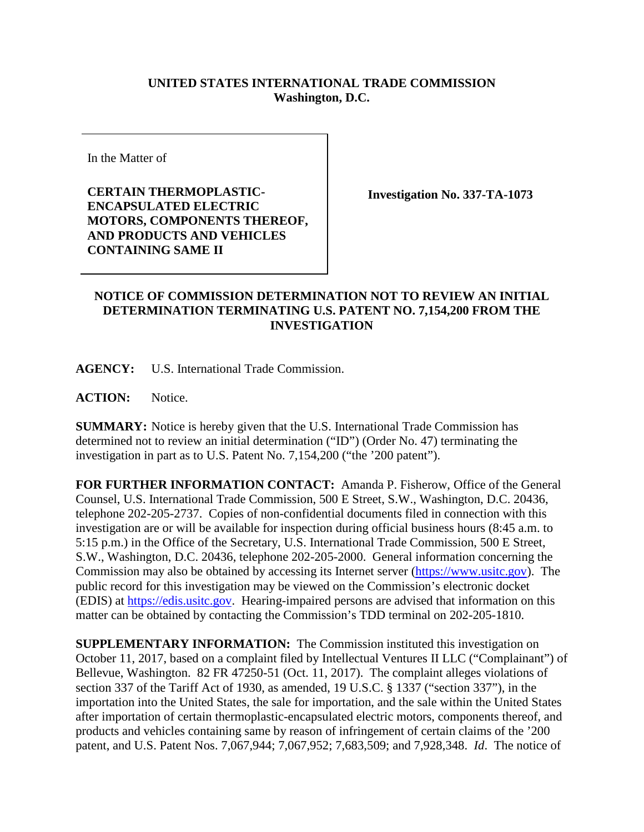## **UNITED STATES INTERNATIONAL TRADE COMMISSION Washington, D.C.**

In the Matter of

**CERTAIN THERMOPLASTIC-ENCAPSULATED ELECTRIC MOTORS, COMPONENTS THEREOF, AND PRODUCTS AND VEHICLES CONTAINING SAME II**

**Investigation No. 337-TA-1073**

## **NOTICE OF COMMISSION DETERMINATION NOT TO REVIEW AN INITIAL DETERMINATION TERMINATING U.S. PATENT NO. 7,154,200 FROM THE INVESTIGATION**

**AGENCY:** U.S. International Trade Commission.

**ACTION:** Notice.

**SUMMARY:** Notice is hereby given that the U.S. International Trade Commission has determined not to review an initial determination ("ID") (Order No. 47) terminating the investigation in part as to U.S. Patent No. 7,154,200 ("the '200 patent").

**FOR FURTHER INFORMATION CONTACT:** Amanda P. Fisherow, Office of the General Counsel, U.S. International Trade Commission, 500 E Street, S.W., Washington, D.C. 20436, telephone 202-205-2737. Copies of non-confidential documents filed in connection with this investigation are or will be available for inspection during official business hours (8:45 a.m. to 5:15 p.m.) in the Office of the Secretary, U.S. International Trade Commission, 500 E Street, S.W., Washington, D.C. 20436, telephone 202-205-2000. General information concerning the Commission may also be obtained by accessing its Internet server [\(https://www.usitc.gov\)](https://www.usitc.gov/). The public record for this investigation may be viewed on the Commission's electronic docket (EDIS) at [https://edis.usitc.gov.](https://edis.usitc.gov/) Hearing-impaired persons are advised that information on this matter can be obtained by contacting the Commission's TDD terminal on 202-205-1810.

**SUPPLEMENTARY INFORMATION:** The Commission instituted this investigation on October 11, 2017, based on a complaint filed by Intellectual Ventures II LLC ("Complainant") of Bellevue, Washington. 82 FR 47250-51 (Oct. 11, 2017). The complaint alleges violations of section 337 of the Tariff Act of 1930, as amended, 19 U.S.C. § 1337 ("section 337"), in the importation into the United States, the sale for importation, and the sale within the United States after importation of certain thermoplastic-encapsulated electric motors, components thereof, and products and vehicles containing same by reason of infringement of certain claims of the '200 patent, and U.S. Patent Nos. 7,067,944; 7,067,952; 7,683,509; and 7,928,348. *Id*. The notice of